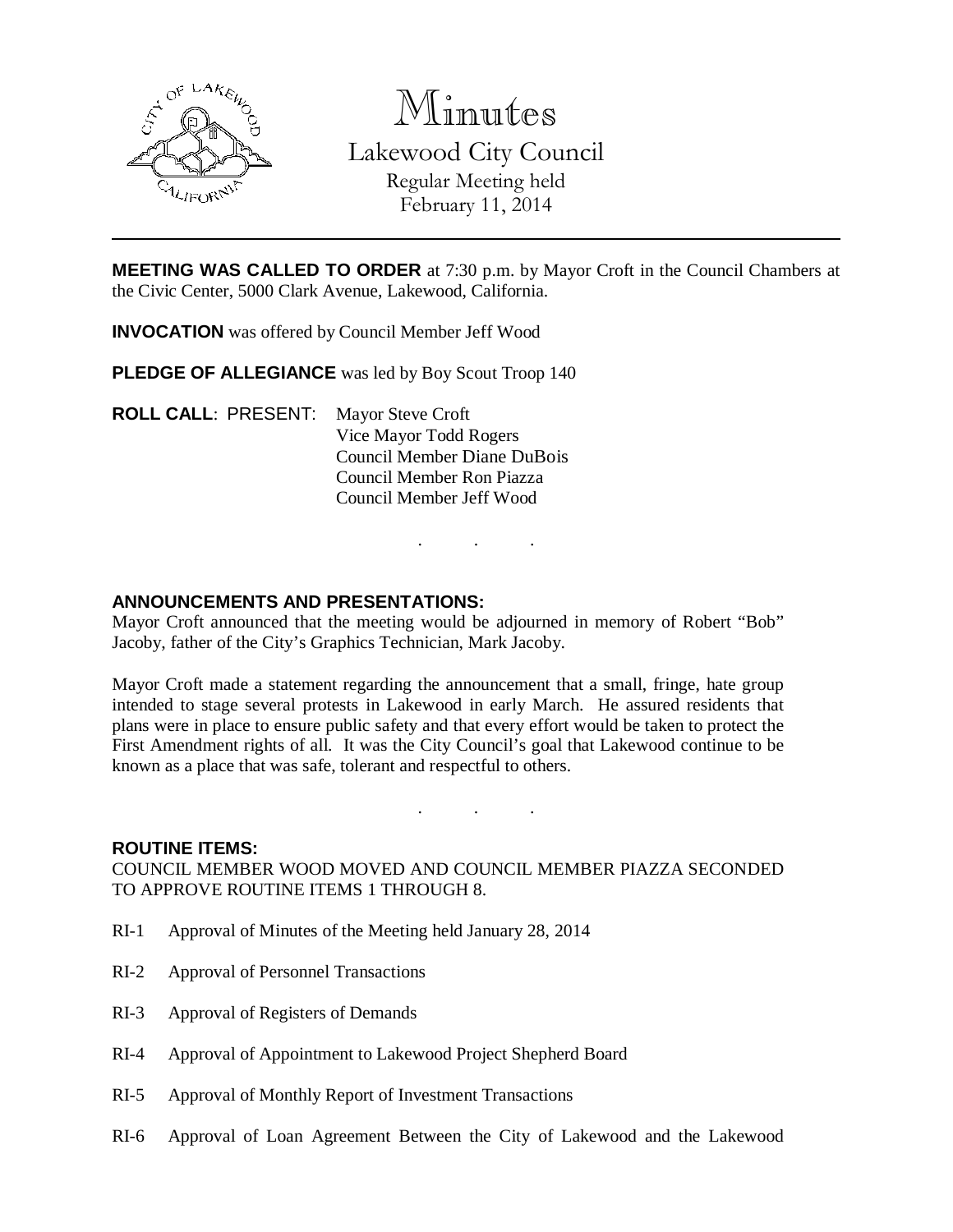

Minutes

Lakewood City Council Regular Meeting held February 11, 2014

**MEETING WAS CALLED TO ORDER** at 7:30 p.m. by Mayor Croft in the Council Chambers at the Civic Center, 5000 Clark Avenue, Lakewood, California.

**INVOCATION** was offered by Council Member Jeff Wood

**PLEDGE OF ALLEGIANCE** was led by Boy Scout Troop 140

**ROLL CALL**: PRESENT: Mayor Steve Croft Vice Mayor Todd Rogers Council Member Diane DuBois Council Member Ron Piazza Council Member Jeff Wood

. . .

# **ANNOUNCEMENTS AND PRESENTATIONS:**

Mayor Croft announced that the meeting would be adjourned in memory of Robert "Bob" Jacoby, father of the City's Graphics Technician, Mark Jacoby.

Mayor Croft made a statement regarding the announcement that a small, fringe, hate group intended to stage several protests in Lakewood in early March. He assured residents that plans were in place to ensure public safety and that every effort would be taken to protect the First Amendment rights of all. It was the City Council's goal that Lakewood continue to be known as a place that was safe, tolerant and respectful to others.

### **ROUTINE ITEMS:**

COUNCIL MEMBER WOOD MOVED AND COUNCIL MEMBER PIAZZA SECONDED TO APPROVE ROUTINE ITEMS 1 THROUGH 8.

. . .

- RI-1 Approval of Minutes of the Meeting held January 28, 2014
- RI-2 Approval of Personnel Transactions
- RI-3 Approval of Registers of Demands
- RI-4 Approval of Appointment to Lakewood Project Shepherd Board
- RI-5 Approval of Monthly Report of Investment Transactions
- RI-6 Approval of Loan Agreement Between the City of Lakewood and the Lakewood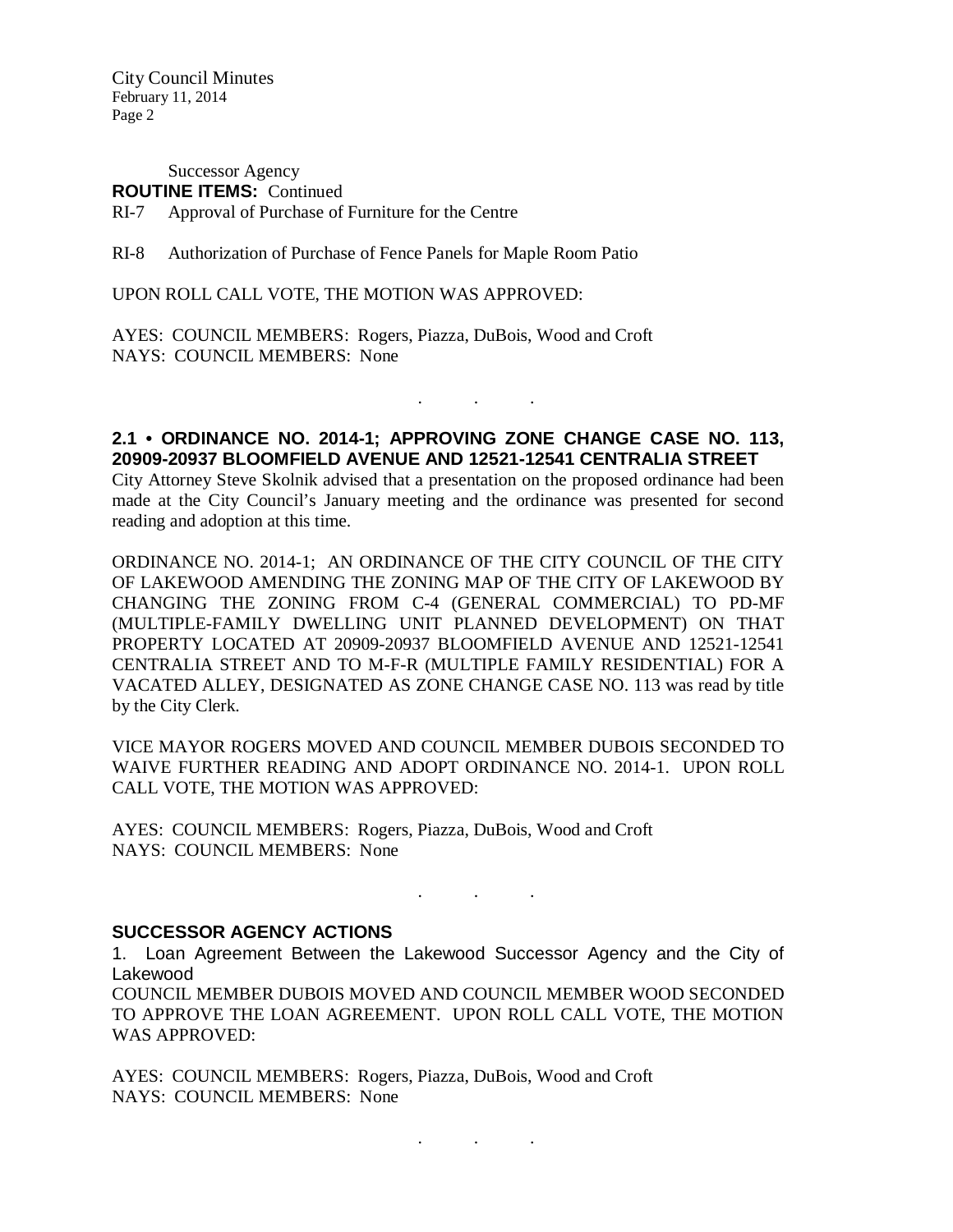City Council Minutes February 11, 2014 Page 2

Successor Agency **ROUTINE ITEMS:** Continued RI-7 Approval of Purchase of Furniture for the Centre

RI-8 Authorization of Purchase of Fence Panels for Maple Room Patio

UPON ROLL CALL VOTE, THE MOTION WAS APPROVED:

AYES: COUNCIL MEMBERS: Rogers, Piazza, DuBois, Wood and Croft NAYS: COUNCIL MEMBERS: None

### **2.1 • ORDINANCE NO. 2014-1; APPROVING ZONE CHANGE CASE NO. 113, 20909-20937 BLOOMFIELD AVENUE AND 12521-12541 CENTRALIA STREET**

. . .

City Attorney Steve Skolnik advised that a presentation on the proposed ordinance had been made at the City Council's January meeting and the ordinance was presented for second reading and adoption at this time.

ORDINANCE NO. 2014-1; AN ORDINANCE OF THE CITY COUNCIL OF THE CITY OF LAKEWOOD AMENDING THE ZONING MAP OF THE CITY OF LAKEWOOD BY CHANGING THE ZONING FROM C-4 (GENERAL COMMERCIAL) TO PD-MF (MULTIPLE-FAMILY DWELLING UNIT PLANNED DEVELOPMENT) ON THAT PROPERTY LOCATED AT 20909-20937 BLOOMFIELD AVENUE AND 12521-12541 CENTRALIA STREET AND TO M-F-R (MULTIPLE FAMILY RESIDENTIAL) FOR A VACATED ALLEY, DESIGNATED AS ZONE CHANGE CASE NO. 113 was read by title by the City Clerk.

VICE MAYOR ROGERS MOVED AND COUNCIL MEMBER DUBOIS SECONDED TO WAIVE FURTHER READING AND ADOPT ORDINANCE NO. 2014-1. UPON ROLL CALL VOTE, THE MOTION WAS APPROVED:

AYES: COUNCIL MEMBERS: Rogers, Piazza, DuBois, Wood and Croft NAYS: COUNCIL MEMBERS: None

### **SUCCESSOR AGENCY ACTIONS**

1. Loan Agreement Between the Lakewood Successor Agency and the City of Lakewood

. . .

. . .

COUNCIL MEMBER DUBOIS MOVED AND COUNCIL MEMBER WOOD SECONDED TO APPROVE THE LOAN AGREEMENT. UPON ROLL CALL VOTE, THE MOTION WAS APPROVED:

AYES: COUNCIL MEMBERS: Rogers, Piazza, DuBois, Wood and Croft NAYS: COUNCIL MEMBERS: None